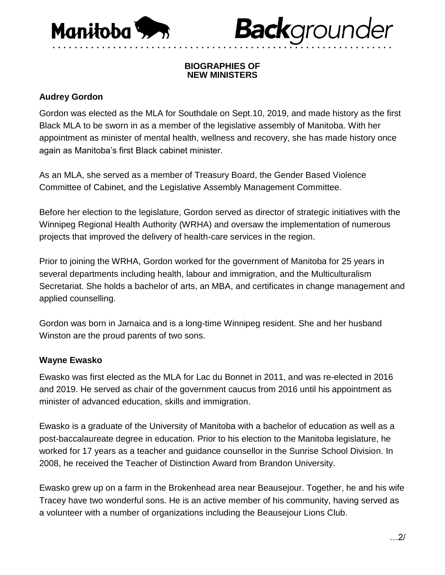

# **Back**grounder

#### **BIOGRAPHIES OF NEW MINISTERS**

• • • • • • • • • • • • • • • • • • • • • • • • • • • • • • • • • • • • • • • • • • • • • • • • • • • • • • • • • • • • • •

## **Audrey Gordon**

Gordon was elected as the MLA for Southdale on Sept.10, 2019, and made history as the first Black MLA to be sworn in as a member of the legislative assembly of Manitoba. With her appointment as minister of mental health, wellness and recovery, she has made history once again as Manitoba's first Black cabinet minister.

As an MLA, she served as a member of Treasury Board, the Gender Based Violence Committee of Cabinet, and the Legislative Assembly Management Committee.

Before her election to the legislature, Gordon served as director of strategic initiatives with the Winnipeg Regional Health Authority (WRHA) and oversaw the implementation of numerous projects that improved the delivery of health-care services in the region.

Prior to joining the WRHA, Gordon worked for the government of Manitoba for 25 years in several departments including health, labour and immigration, and the Multiculturalism Secretariat. She holds a bachelor of arts, an MBA, and certificates in change management and applied counselling.

Gordon was born in Jamaica and is a long-time Winnipeg resident. She and her husband Winston are the proud parents of two sons.

## **Wayne Ewasko**

Ewasko was first elected as the MLA for Lac du Bonnet in 2011, and was re-elected in 2016 and 2019. He served as chair of the government caucus from 2016 until his appointment as minister of advanced education, skills and immigration.

Ewasko is a graduate of the University of Manitoba with a bachelor of education as well as a post-baccalaureate degree in education. Prior to his election to the Manitoba legislature, he worked for 17 years as a teacher and guidance counsellor in the Sunrise School Division. In 2008, he received the Teacher of Distinction Award from Brandon University.

Ewasko grew up on a farm in the Brokenhead area near Beausejour. Together, he and his wife Tracey have two wonderful sons. He is an active member of his community, having served as a volunteer with a number of organizations including the Beausejour Lions Club.